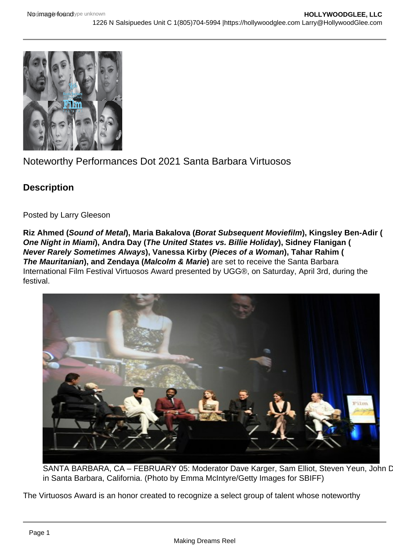## Noteworthy Performances Dot 2021 Santa Barbara Virtuosos

**Description** 

Posted by Larry Gleeson

Riz Ahmed ( Sound of Metal ), Maria Bakalova ( Borat Subsequent Moviefilm ), Kingsley Ben-Adir ( One Night in Miami ), Andra Day ( The United States vs. Billie Holiday ), Sidney Flanigan ( Never Rarely Sometimes Always ), Vanessa Kirby ( Pieces of a Woman ), Tahar Rahim ( The Mauritanian ), and Zendaya ( Malcolm & Marie ) are set to receive the Santa Barbara International Film Festival Virtuosos Award presented by UGG®, on Saturday, April 3rd, during the festival.

SANTA BARBARA, CA - FEBRUARY 05: Moderator Dave Karger, Sam Elliot, Steven Yeun, John D in Santa Barbara, California. (Photo by Emma McIntyre/Getty Images for SBIFF)

The Virtuosos Award is an honor created to recognize a select group of talent whose noteworthy